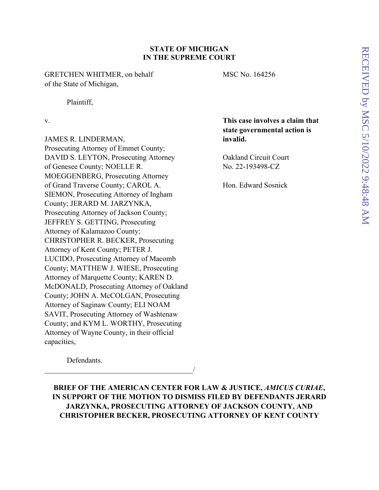# **STATE OF MICHIGAN IN THE SUPREME COURT**

GRETCHEN WHITMER, on behalf MSC No. 164256 of the State of Michigan,

Plaintiff,

JAMES R. LINDERMAN, **invalid.** Prosecuting Attorney of Emmet County; DAVID S. LEYTON, Prosecuting Attorney Oakland Circuit Court of Genesee County; NOELLE R. No. 22-193498-CZ MOEGGENBERG, Prosecuting Attorney of Grand Traverse County; CAROL A. Hon. Edward Sosnick SIEMON, Prosecuting Attorney of Ingham County; JERARD M. JARZYNKA, Prosecuting Attorney of Jackson County; JEFFREY S. GETTING, Prosecuting Attorney of Kalamazoo County; CHRISTOPHER R. BECKER, Prosecuting Attorney of Kent County; PETER J. LUCIDO, Prosecuting Attorney of Macomb County; MATTHEW J. WIESE, Prosecuting Attorney of Marquette County; KAREN D. McDONALD, Prosecuting Attorney of Oakland County; JOHN A. McCOLGAN, Prosecuting Attorney of Saginaw County; ELI NOAM SAVIT, Prosecuting Attorney of Washtenaw County; and KYM L. WORTHY, Prosecuting Attorney of Wayne County, in their official capacities,

 $\overline{\phantom{a}}$ 

v. **This case involves a claim that state governmental action is** 

Defendants.

**BRIEF OF THE AMERICAN CENTER FOR LAW & JUSTICE,** *AMICUS CURIAE***, IN SUPPORT OF THE MOTION TO DISMISS FILED BY DEFENDANTS JERARD JARZYNKA, PROSECUTING ATTORNEY OF JACKSON COUNTY, AND CHRISTOPHER BECKER, PROSECUTING ATTORNEY OF KENT COUNTY**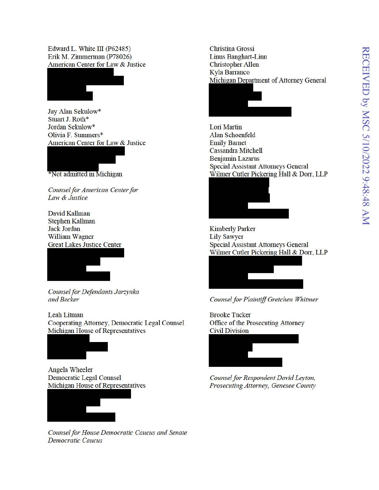Edward L. White III (P62485) Erik M. Zimmerman (P78026) American Center for Law & Justice



Jay Alan Sekulow\* Stuart J. Roth\* Jordan Sekulow\* Olivia F. Summers\* American Center for Law & Justice



Counsel for American Center for Law & Justice

David Kallman **Stephen Kallman** Jack Jordan **William Wagner Great Lakes Justice Center** 



Counsel for Defendants Jarzynka and Becker

Leah Litman Cooperating Attorney, Democratic Legal Counsel Michigan House of Representatives



**Angela Wheeler Democratic Legal Counsel** Michigan House of Representatives



Counsel for House Democratic Caucus and Senate **Democratic Caucus** 

**Christina Grossi Linus Banghart-Linn Christopher Allen** Kyla Barranco Michigan Department of Attorney General



Lori Martin Alan Schoenfeld **Emily Barnet** Cassandra Mitchell **Benjamin Lazarus Special Assistant Attorneys General** Wilmer Cutler Pickering Hall & Dorr, LLP



**Kimberly Parker Lily Sawyer Special Assistant Attorneys General** Wilmer Cutler Pickering Hall & Dorr, LLP



Counsel for Plaintiff Gretchen Whitmer

**Brooke Tucker** Office of the Prosecuting Attorney **Civil Division** 



Counsel for Respondent David Leyton, Prosecuting Attorney, Genesee County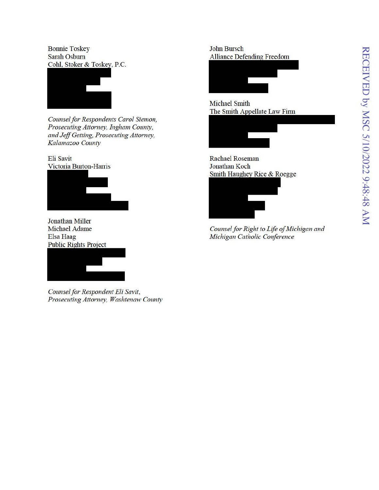**Bonnie Toskey** Sarah Osburn Cohl, Stoker & Toskey, P.C.



Counsel for Respondents Carol Siemon, Prosecuting Attorney, Ingham County, and Jeff Getting, Prosecuting Attorney, Kalamazoo County

Eli Savit Victoria Burton-Harris



**Jonathan Miller Michael Adame** Elsa Haag **Public Rights Project** 



Counsel for Respondent Eli Savit, Prosecuting Attorney, Washtenaw County

**John Bursch Alliance Defending Freedom** 



**Michael Smith** The Smith Appellate Law Firm



**Rachael Roseman** Jonathan Koch Smith Haughey Rice & Roegge



Counsel for Right to Life of Michigan and Michigan Catholic Conference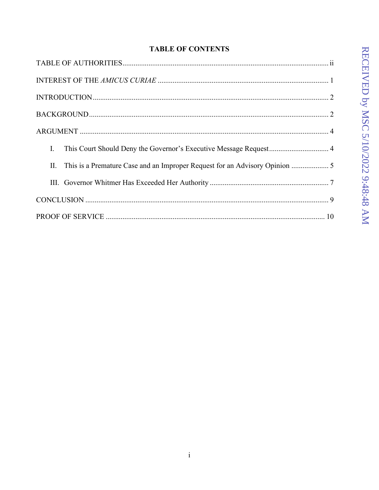# **TABLE OF CONTENTS**

| Ι. |
|----|
|    |
|    |
|    |
|    |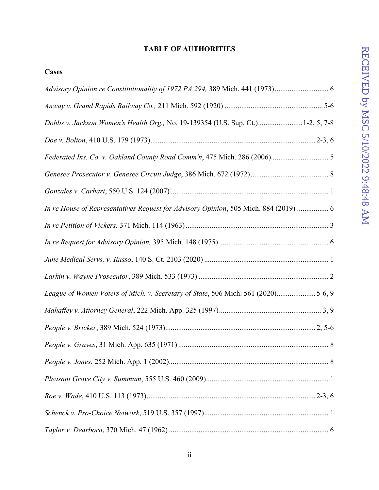# RECEIVED by MSC 5/10/2022 9:48:48 AM RECEIVED by MSC 5/10/2022 9:48:48 AM

# **TABLE OF AUTHORITIES**

**Cases**

| Dobbs v. Jackson Women's Health Org., No. 19-139354 (U.S. Sup. Ct.)1-2, 5, 7-8       |
|--------------------------------------------------------------------------------------|
|                                                                                      |
|                                                                                      |
|                                                                                      |
|                                                                                      |
| In re House of Representatives Request for Advisory Opinion, 505 Mich. 884 (2019)  6 |
|                                                                                      |
|                                                                                      |
|                                                                                      |
|                                                                                      |
| League of Women Voters of Mich. v. Secretary of State, 506 Mich. 561 (2020)5-6, 9    |
|                                                                                      |
|                                                                                      |
|                                                                                      |
|                                                                                      |
|                                                                                      |
|                                                                                      |
|                                                                                      |
|                                                                                      |
|                                                                                      |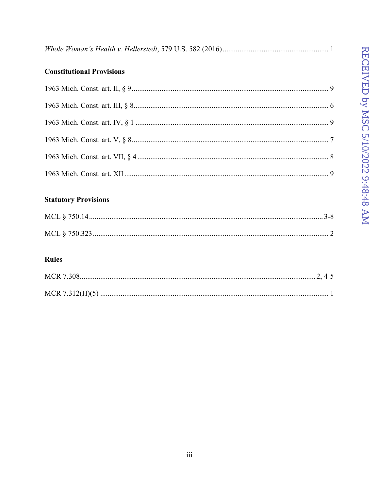|--|--|

# **Constitutional Provisions**

# **Statutory Provisions**

# **Rules**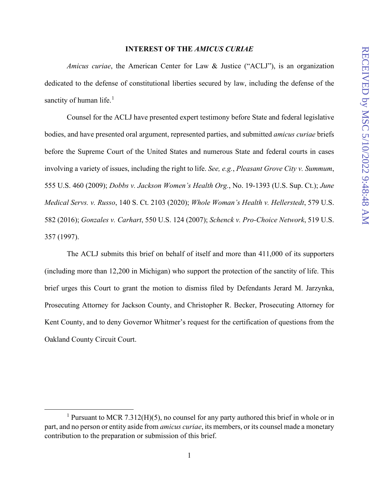## **INTEREST OF THE** *AMICUS CURIAE*

*Amicus curiae*, the American Center for Law & Justice ("ACLJ"), is an organization dedicated to the defense of constitutional liberties secured by law, including the defense of the sanctity of human life.<sup>1</sup>

Counsel for the ACLJ have presented expert testimony before State and federal legislative bodies, and have presented oral argument, represented parties, and submitted *amicus curiae* briefs before the Supreme Court of the United States and numerous State and federal courts in cases involving a variety of issues, including the right to life. *See, e.g.*, *Pleasant Grove City v. Summum*, 555 U.S. 460 (2009); *Dobbs v. Jackson Women's Health Org.*, No. 19-1393 (U.S. Sup. Ct.); *June Medical Servs. v. Russo*, 140 S. Ct. 2103 (2020); *Whole Woman's Health v. Hellerstedt*, 579 U.S. 582 (2016); *Gonzales v. Carhart*, 550 U.S. 124 (2007); *Schenck v. Pro-Choice Network*, 519 U.S. 357 (1997).

The ACLJ submits this brief on behalf of itself and more than 411,000 of its supporters (including more than 12,200 in Michigan) who support the protection of the sanctity of life. This brief urges this Court to grant the motion to dismiss filed by Defendants Jerard M. Jarzynka, Prosecuting Attorney for Jackson County, and Christopher R. Becker, Prosecuting Attorney for Kent County, and to deny Governor Whitmer's request for the certification of questions from the Oakland County Circuit Court.

<sup>&</sup>lt;sup>1</sup> Pursuant to MCR 7.312(H)(5), no counsel for any party authored this brief in whole or in part, and no person or entity aside from *amicus curiae*, its members, or its counsel made a monetary contribution to the preparation or submission of this brief.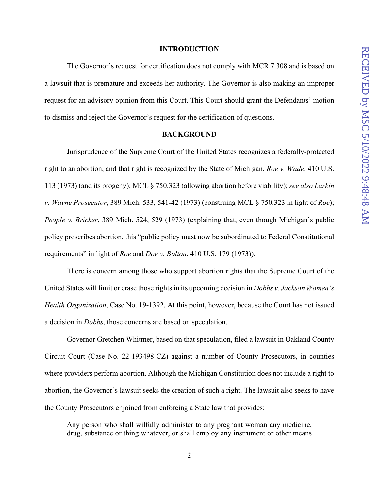#### **INTRODUCTION**

The Governor's request for certification does not comply with MCR 7.308 and is based on a lawsuit that is premature and exceeds her authority. The Governor is also making an improper request for an advisory opinion from this Court. This Court should grant the Defendants' motion to dismiss and reject the Governor's request for the certification of questions.

## **BACKGROUND**

Jurisprudence of the Supreme Court of the United States recognizes a federally-protected right to an abortion, and that right is recognized by the State of Michigan. *Roe v. Wade*, 410 U.S. 113 (1973) (and its progeny); MCL § 750.323 (allowing abortion before viability); *see also Larkin v. Wayne Prosecutor*, 389 Mich. 533, 541-42 (1973) (construing MCL § 750.323 in light of *Roe*); *People v. Bricker*, 389 Mich. 524, 529 (1973) (explaining that, even though Michigan's public policy proscribes abortion, this "public policy must now be subordinated to Federal Constitutional requirements" in light of *Roe* and *Doe v. Bolton*, 410 U.S. 179 (1973)).

 There is concern among those who support abortion rights that the Supreme Court of the United States will limit or erase those rights in its upcoming decision in *Dobbs v. Jackson Women's Health Organization*, Case No. 19-1392. At this point, however, because the Court has not issued a decision in *Dobbs*, those concerns are based on speculation.

 Governor Gretchen Whitmer, based on that speculation, filed a lawsuit in Oakland County Circuit Court (Case No. 22-193498-CZ) against a number of County Prosecutors, in counties where providers perform abortion. Although the Michigan Constitution does not include a right to abortion, the Governor's lawsuit seeks the creation of such a right. The lawsuit also seeks to have the County Prosecutors enjoined from enforcing a State law that provides:

Any person who shall wilfully administer to any pregnant woman any medicine, drug, substance or thing whatever, or shall employ any instrument or other means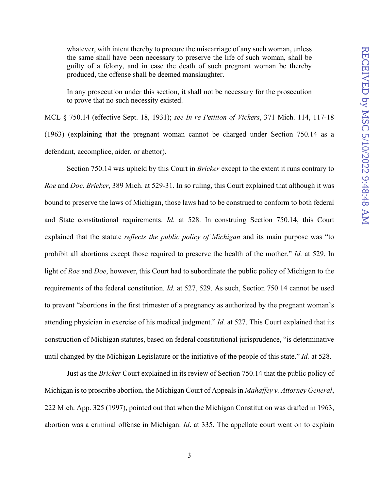whatever, with intent thereby to procure the miscarriage of any such woman, unless the same shall have been necessary to preserve the life of such woman, shall be guilty of a felony, and in case the death of such pregnant woman be thereby produced, the offense shall be deemed manslaughter.

In any prosecution under this section, it shall not be necessary for the prosecution to prove that no such necessity existed.

MCL § 750.14 (effective Sept. 18, 1931); *see In re Petition of Vickers*, 371 Mich. 114, 117-18 (1963) (explaining that the pregnant woman cannot be charged under Section 750.14 as a defendant, accomplice, aider, or abettor).

Section 750.14 was upheld by this Court in *Bricker* except to the extent it runs contrary to *Roe* and *Doe*. *Bricker*, 389 Mich. at 529-31. In so ruling, this Court explained that although it was bound to preserve the laws of Michigan, those laws had to be construed to conform to both federal and State constitutional requirements. *Id.* at 528. In construing Section 750.14, this Court explained that the statute *reflects the public policy of Michigan* and its main purpose was "to prohibit all abortions except those required to preserve the health of the mother." *Id.* at 529. In light of *Roe* and *Doe*, however, this Court had to subordinate the public policy of Michigan to the requirements of the federal constitution. *Id.* at 527, 529. As such, Section 750.14 cannot be used to prevent "abortions in the first trimester of a pregnancy as authorized by the pregnant woman's attending physician in exercise of his medical judgment." *Id.* at 527. This Court explained that its construction of Michigan statutes, based on federal constitutional jurisprudence, "is determinative until changed by the Michigan Legislature or the initiative of the people of this state." *Id.* at 528.

Just as the *Bricker* Court explained in its review of Section 750.14 that the public policy of Michigan is to proscribe abortion, the Michigan Court of Appeals in *Mahaffey v. Attorney General*, 222 Mich. App. 325 (1997), pointed out that when the Michigan Constitution was drafted in 1963, abortion was a criminal offense in Michigan. *Id*. at 335. The appellate court went on to explain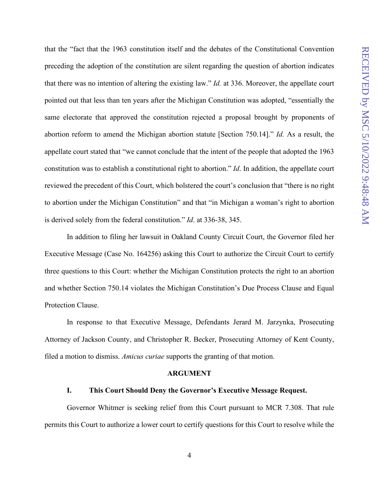that the "fact that the 1963 constitution itself and the debates of the Constitutional Convention preceding the adoption of the constitution are silent regarding the question of abortion indicates that there was no intention of altering the existing law." *Id.* at 336. Moreover, the appellate court pointed out that less than ten years after the Michigan Constitution was adopted, "essentially the same electorate that approved the constitution rejected a proposal brought by proponents of abortion reform to amend the Michigan abortion statute [Section 750.14]." *Id.* As a result, the appellate court stated that "we cannot conclude that the intent of the people that adopted the 1963 constitution was to establish a constitutional right to abortion." *Id*. In addition, the appellate court reviewed the precedent of this Court, which bolstered the court's conclusion that "there is no right to abortion under the Michigan Constitution" and that "in Michigan a woman's right to abortion is derived solely from the federal constitution." *Id*. at 336-38, 345.

In addition to filing her lawsuit in Oakland County Circuit Court, the Governor filed her Executive Message (Case No. 164256) asking this Court to authorize the Circuit Court to certify three questions to this Court: whether the Michigan Constitution protects the right to an abortion and whether Section 750.14 violates the Michigan Constitution's Due Process Clause and Equal Protection Clause.

In response to that Executive Message, Defendants Jerard M. Jarzynka, Prosecuting Attorney of Jackson County, and Christopher R. Becker, Prosecuting Attorney of Kent County, filed a motion to dismiss. *Amicus curiae* supports the granting of that motion.

#### **ARGUMENT**

## **I. This Court Should Deny the Governor's Executive Message Request.**

Governor Whitmer is seeking relief from this Court pursuant to MCR 7.308. That rule permits this Court to authorize a lower court to certify questions for this Court to resolve while the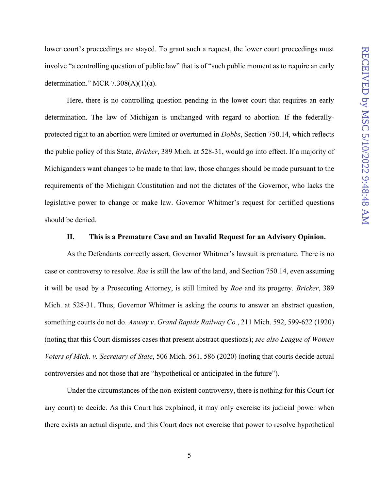lower court's proceedings are stayed. To grant such a request, the lower court proceedings must involve "a controlling question of public law" that is of "such public moment as to require an early determination." MCR  $7.308(A)(1)(a)$ .

Here, there is no controlling question pending in the lower court that requires an early determination. The law of Michigan is unchanged with regard to abortion. If the federallyprotected right to an abortion were limited or overturned in *Dobbs*, Section 750.14, which reflects the public policy of this State, *Bricker*, 389 Mich. at 528-31, would go into effect. If a majority of Michiganders want changes to be made to that law, those changes should be made pursuant to the requirements of the Michigan Constitution and not the dictates of the Governor, who lacks the legislative power to change or make law. Governor Whitmer's request for certified questions should be denied.

## **II. This is a Premature Case and an Invalid Request for an Advisory Opinion.**

As the Defendants correctly assert, Governor Whitmer's lawsuit is premature. There is no case or controversy to resolve. *Roe* is still the law of the land, and Section 750.14, even assuming it will be used by a Prosecuting Attorney, is still limited by *Roe* and its progeny*. Bricker*, 389 Mich. at 528-31. Thus, Governor Whitmer is asking the courts to answer an abstract question, something courts do not do. *Anway v. Grand Rapids Railway Co.*, 211 Mich. 592, 599-622 (1920) (noting that this Court dismisses cases that present abstract questions); *see also League of Women Voters of Mich. v. Secretary of State*, 506 Mich. 561, 586 (2020) (noting that courts decide actual controversies and not those that are "hypothetical or anticipated in the future").

Under the circumstances of the non-existent controversy, there is nothing for this Court (or any court) to decide. As this Court has explained, it may only exercise its judicial power when there exists an actual dispute, and this Court does not exercise that power to resolve hypothetical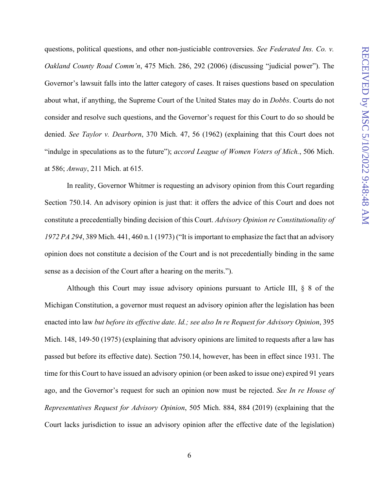questions, political questions, and other non-justiciable controversies. *See Federated Ins. Co. v. Oakland County Road Comm'n*, 475 Mich. 286, 292 (2006) (discussing "judicial power"). The Governor's lawsuit falls into the latter category of cases. It raises questions based on speculation about what, if anything, the Supreme Court of the United States may do in *Dobbs*. Courts do not consider and resolve such questions, and the Governor's request for this Court to do so should be denied. *See Taylor v. Dearborn*, 370 Mich. 47, 56 (1962) (explaining that this Court does not "indulge in speculations as to the future"); *accord League of Women Voters of Mich.*, 506 Mich. at 586; *Anway*, 211 Mich. at 615.

In reality, Governor Whitmer is requesting an advisory opinion from this Court regarding Section 750.14. An advisory opinion is just that: it offers the advice of this Court and does not constitute a precedentially binding decision of this Court. *Advisory Opinion re Constitutionality of 1972 PA 294*, 389 Mich. 441, 460 n.1 (1973) ("It is important to emphasize the fact that an advisory opinion does not constitute a decision of the Court and is not precedentially binding in the same sense as a decision of the Court after a hearing on the merits.").

Although this Court may issue advisory opinions pursuant to Article III, § 8 of the Michigan Constitution, a governor must request an advisory opinion after the legislation has been enacted into law *but before its effective date*. *Id.; see also In re Request for Advisory Opinion*, 395 Mich. 148, 149-50 (1975) (explaining that advisory opinions are limited to requests after a law has passed but before its effective date). Section 750.14, however, has been in effect since 1931. The time for this Court to have issued an advisory opinion (or been asked to issue one) expired 91 years ago, and the Governor's request for such an opinion now must be rejected. *See In re House of Representatives Request for Advisory Opinion*, 505 Mich. 884, 884 (2019) (explaining that the Court lacks jurisdiction to issue an advisory opinion after the effective date of the legislation)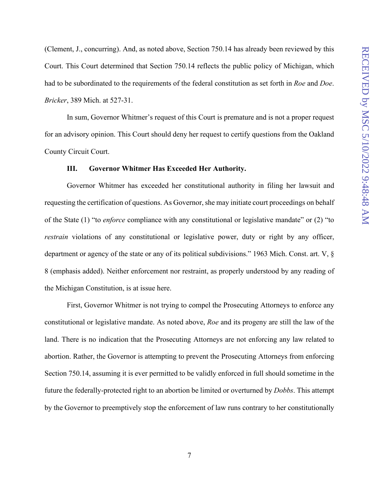(Clement, J., concurring). And, as noted above, Section 750.14 has already been reviewed by this Court. This Court determined that Section 750.14 reflects the public policy of Michigan, which had to be subordinated to the requirements of the federal constitution as set forth in *Roe* and *Doe*. *Bricker*, 389 Mich. at 527-31.

In sum, Governor Whitmer's request of this Court is premature and is not a proper request for an advisory opinion. This Court should deny her request to certify questions from the Oakland County Circuit Court.

## **III. Governor Whitmer Has Exceeded Her Authority.**

Governor Whitmer has exceeded her constitutional authority in filing her lawsuit and requesting the certification of questions. As Governor, she may initiate court proceedings on behalf of the State (1) "to *enforce* compliance with any constitutional or legislative mandate" or (2) "to *restrain* violations of any constitutional or legislative power, duty or right by any officer, department or agency of the state or any of its political subdivisions." 1963 Mich. Const. art. V, § 8 (emphasis added). Neither enforcement nor restraint, as properly understood by any reading of the Michigan Constitution, is at issue here.

First, Governor Whitmer is not trying to compel the Prosecuting Attorneys to enforce any constitutional or legislative mandate. As noted above, *Roe* and its progeny are still the law of the land. There is no indication that the Prosecuting Attorneys are not enforcing any law related to abortion. Rather, the Governor is attempting to prevent the Prosecuting Attorneys from enforcing Section 750.14, assuming it is ever permitted to be validly enforced in full should sometime in the future the federally-protected right to an abortion be limited or overturned by *Dobbs*. This attempt by the Governor to preemptively stop the enforcement of law runs contrary to her constitutionally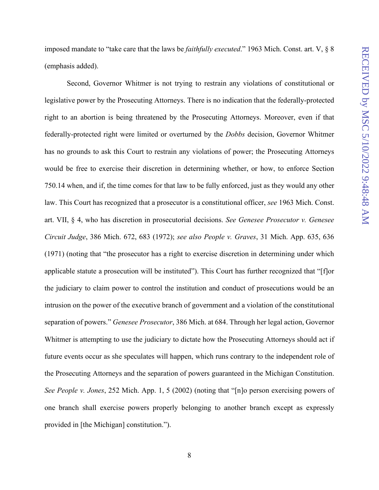imposed mandate to "take care that the laws be *faithfully executed*." 1963 Mich. Const. art. V, § 8 (emphasis added).

Second, Governor Whitmer is not trying to restrain any violations of constitutional or legislative power by the Prosecuting Attorneys. There is no indication that the federally-protected right to an abortion is being threatened by the Prosecuting Attorneys. Moreover, even if that federally-protected right were limited or overturned by the *Dobbs* decision, Governor Whitmer has no grounds to ask this Court to restrain any violations of power; the Prosecuting Attorneys would be free to exercise their discretion in determining whether, or how, to enforce Section 750.14 when, and if, the time comes for that law to be fully enforced, just as they would any other law. This Court has recognized that a prosecutor is a constitutional officer, *see* 1963 Mich. Const. art. VII, § 4, who has discretion in prosecutorial decisions. *See Genesee Prosecutor v. Genesee Circuit Judge*, 386 Mich. 672, 683 (1972); *see also People v. Graves*, 31 Mich. App. 635, 636 (1971) (noting that "the prosecutor has a right to exercise discretion in determining under which applicable statute a prosecution will be instituted"). This Court has further recognized that "[f]or the judiciary to claim power to control the institution and conduct of prosecutions would be an intrusion on the power of the executive branch of government and a violation of the constitutional separation of powers." *Genesee Prosecutor*, 386 Mich. at 684. Through her legal action, Governor Whitmer is attempting to use the judiciary to dictate how the Prosecuting Attorneys should act if future events occur as she speculates will happen, which runs contrary to the independent role of the Prosecuting Attorneys and the separation of powers guaranteed in the Michigan Constitution. *See People v. Jones*, 252 Mich. App. 1, 5 (2002) (noting that "[n]o person exercising powers of one branch shall exercise powers properly belonging to another branch except as expressly provided in [the Michigan] constitution.").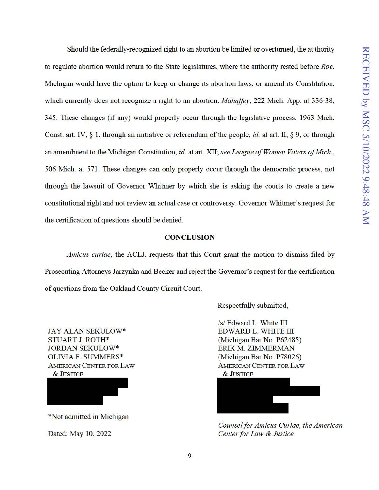Should the federally-recognized right to an abortion be limited or overturned, the authority to regulate abortion would return to the State legislatures, where the authority rested before *Roe*. Michigan would have the option to keep or change its abortion laws, or amend its Constitution, which currently does not recognize a right to an abortion. *Mahaffey*, 222 Mich. App. at 336-38, 345. These changes (if any) would properly occm through the legislative process, 1963 Mich. Const. art. IV, § 1, through an initiative or referendum of the people, *id.* at art. II, § 9, or through an amendment to the Michigan Constitution, *id.* at art. XII; *see League of Women Voters of Mich.,*  506 Mich. at 571. These changes can only properly occm through the democratic process, not through the lawsuit of Governor Whitmer by which she is asking the comts to create a new constitutional right and not review an actual case or controversy. Governor Whitmer's request for the certification of questions should be denied.

## **CONCLUSION**

*Amicus curiae,* the ACLJ, requests that this Court grant the motion to dismiss filed by Prosecuting Attorneys Jarzynka and Becker and reject the Governor's request for the certification of questions from the Oakland County Circuit Comt.

JAY ALAN SEKULOW\* STUART J. ROTH\* JORDAN SEKULOW\* OLIVIA F. SUMMERS\* AMERICAN CENTER FOR LAW &JUSTICE

\*Not admitted in Michigan

Dated: May 10, 2022

Respectfully submitted,

 $\sqrt{s}$  Edward L. White III EDWARD L. WHITE III (Michigan Bar No. P62485) ERIK M. ZIMMERMAN (Michigan Bar No. P78026) AMERICAN CENTER FOR LAW &JUSTICE



*Counsel for Amicus Curiae, the American Center for Law & Justice*